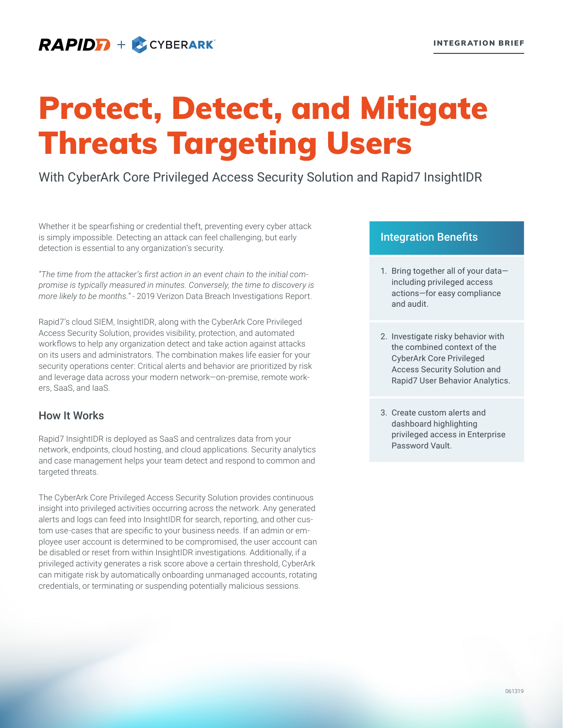# **RAPIDE** + **ECYBERARK**

# Protect, Detect, and Mitigate Threats Targeting Users

With CyberArk Core Privileged Access Security Solution and Rapid7 InsightIDR

Whether it be spearfishing or credential theft, preventing every cyber attack is simply impossible. Detecting an attack can feel challenging, but early detection is essential to any organization's security.

*"The time from the attacker's first action in an event chain to the initial compromise is typically measured in minutes. Conversely, the time to discovery is more likely to be months."* - 2019 Verizon Data Breach Investigations Report.

Rapid7's cloud SIEM, InsightIDR, along with the CyberArk Core Privileged Access Security Solution, provides visibility, protection, and automated workflows to help any organization detect and take action against attacks on its users and administrators. The combination makes life easier for your security operations center: Critical alerts and behavior are prioritized by risk and leverage data across your modern network—on-premise, remote workers, SaaS, and IaaS.

# How It Works

Rapid7 InsightIDR is deployed as SaaS and centralizes data from your network, endpoints, cloud hosting, and cloud applications. Security analytics and case management helps your team detect and respond to common and targeted threats.

The CyberArk Core Privileged Access Security Solution provides continuous insight into privileged activities occurring across the network. Any generated alerts and logs can feed into InsightIDR for search, reporting, and other custom use-cases that are specific to your business needs. If an admin or employee user account is determined to be compromised, the user account can be disabled or reset from within InsightIDR investigations. Additionally, if a privileged activity generates a risk score above a certain threshold, CyberArk can mitigate risk by automatically onboarding unmanaged accounts, rotating credentials, or terminating or suspending potentially malicious sessions.

# Integration Benefits

- 1. Bring together all of your data including privileged access actions—for easy compliance and audit.
- 2. Investigate risky behavior with the combined context of the CyberArk Core Privileged Access Security Solution and Rapid7 User Behavior Analytics.
- 3. Create custom alerts and dashboard highlighting privileged access in Enterprise Password Vault.